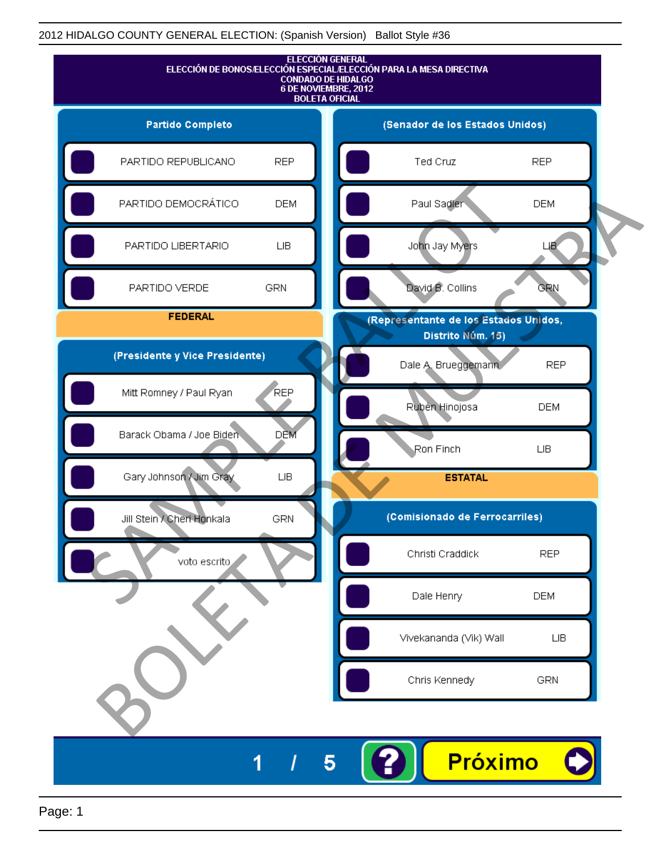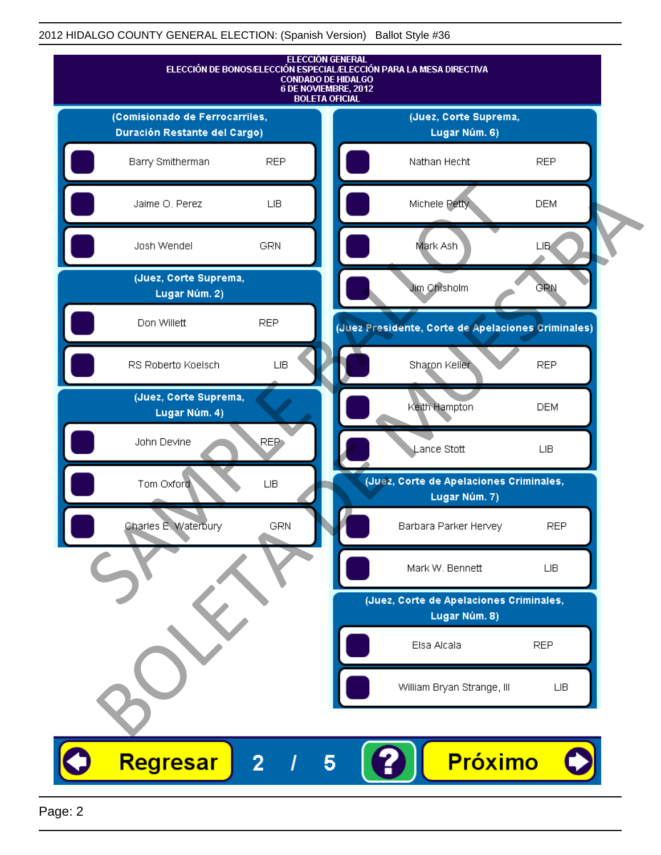

Page: 2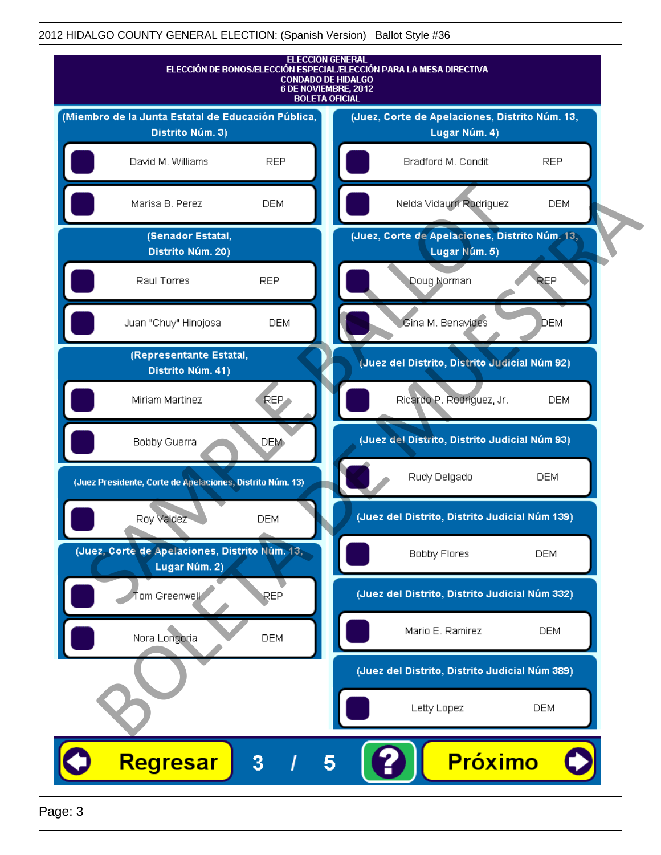

Page: 3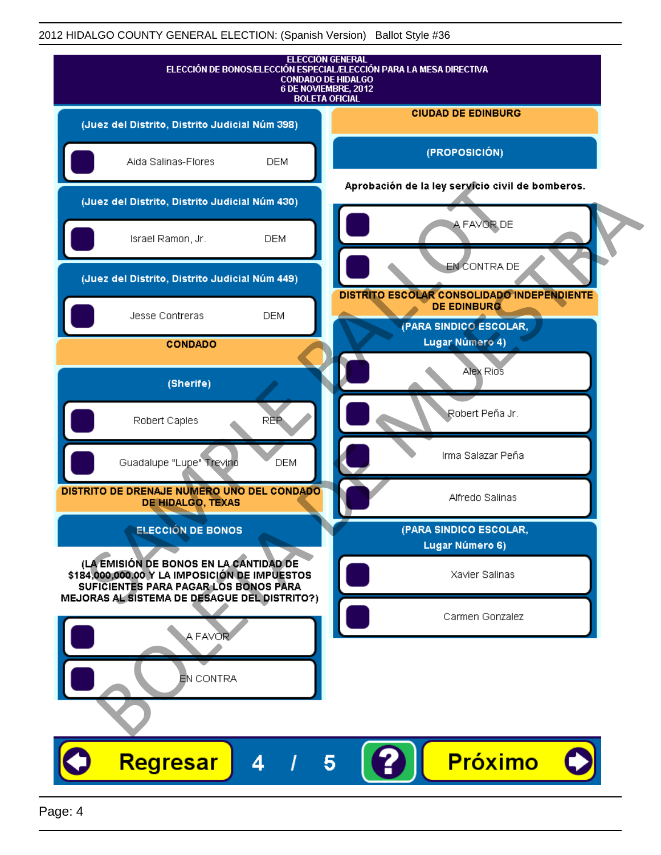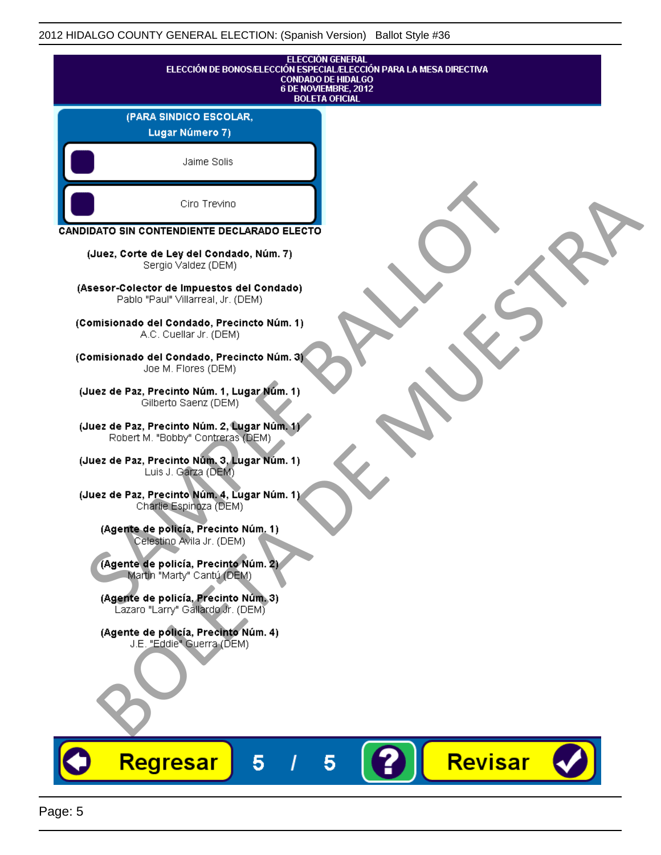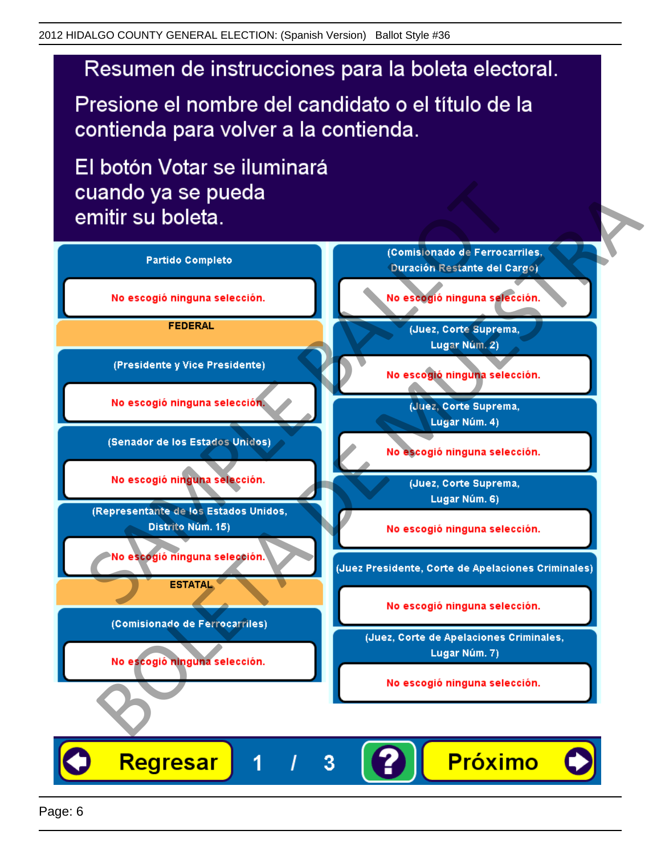# Resumen de instrucciones para la boleta electoral.

Presione el nombre del candidato o el título de la contienda para volver a la contienda.

El botón Votar se iluminará

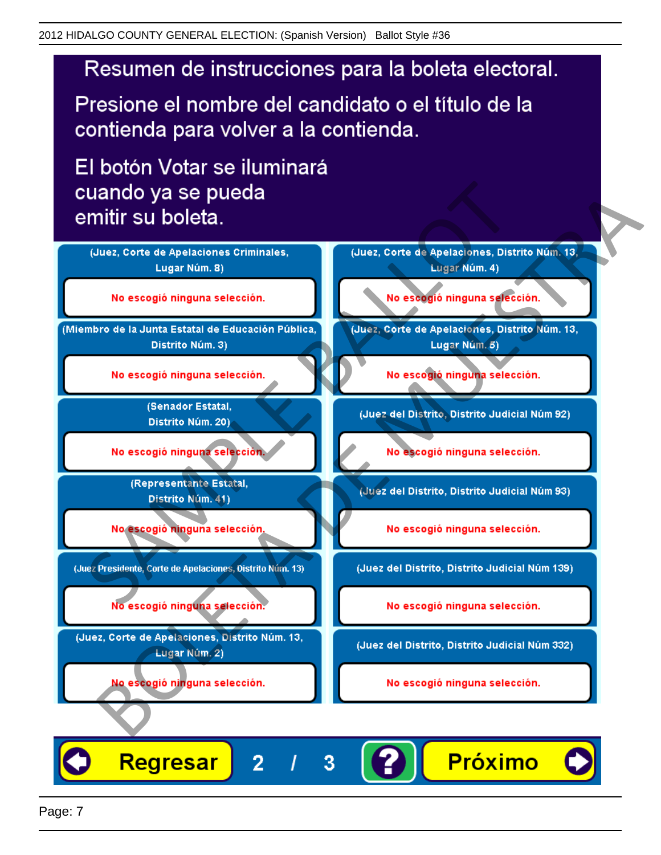# Resumen de instrucciones para la boleta electoral.

Presione el nombre del candidato o el título de la contienda para volver a la contienda.

El botón Votar se iluminará